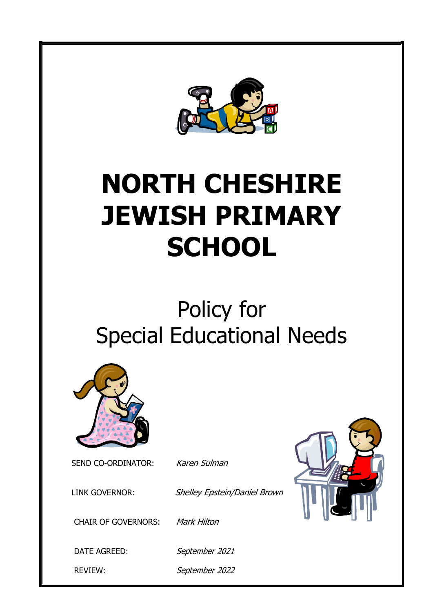

# **NORTH CHESHIRE JEWISH PRIMARY SCHOOL**

# Policy for Special Educational Needs



SEND CO-ORDINATOR: Karen Sulman



CHAIR OF GOVERNORS: Mark Hilton

LINK GOVERNOR: Shelley Epstein/Daniel Brown

DATE AGREED: September 2021

REVIEW: September 2022

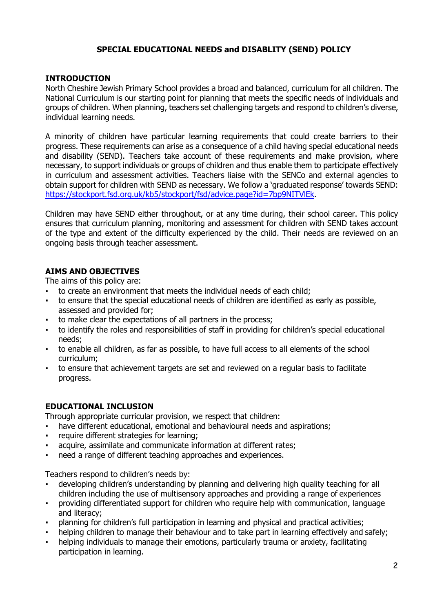#### **SPECIAL EDUCATIONAL NEEDS and DISABLITY (SEND) POLICY**

#### **INTRODUCTION**

North Cheshire Jewish Primary School provides a broad and balanced, curriculum for all children. The National Curriculum is our starting point for planning that meets the specific needs of individuals and groups of children. When planning, teachers set challenging targets and respond to children's diverse, individual learning needs.

A minority of children have particular learning requirements that could create barriers to their progress. These requirements can arise as a consequence of a child having special educational needs and disability (SEND). Teachers take account of these requirements and make provision, where necessary, to support individuals or groups of children and thus enable them to participate effectively in curriculum and assessment activities. Teachers liaise with the SENCo and external agencies to obtain support for children with SEND as necessary. We follow a 'graduated response' towards SEND: [https://stockport.fsd.org.uk/kb5/stockport/fsd/advice.page?id=7bp9NITVlEk.](https://stockport.fsd.org.uk/kb5/stockport/fsd/advice.page?id=7bp9NITVlEk)

Children may have SEND either throughout, or at any time during, their school career. This policy ensures that curriculum planning, monitoring and assessment for children with SEND takes account of the type and extent of the difficulty experienced by the child. Their needs are reviewed on an ongoing basis through teacher assessment.

#### **AIMS AND OBJECTIVES**

The aims of this policy are:

- to create an environment that meets the individual needs of each child;
- to ensure that the special educational needs of children are identified as early as possible, assessed and provided for;
- to make clear the expectations of all partners in the process;
- to identify the roles and responsibilities of staff in providing for children's special educational needs;
- to enable all children, as far as possible, to have full access to all elements of the school curriculum;
- to ensure that achievement targets are set and reviewed on a regular basis to facilitate progress.

#### **EDUCATIONAL INCLUSION**

Through appropriate curricular provision, we respect that children:

- have different educational, emotional and behavioural needs and aspirations;
- require different strategies for learning;
- acquire, assimilate and communicate information at different rates;
- need a range of different teaching approaches and experiences.

Teachers respond to children's needs by:

- developing children's understanding by planning and delivering high quality teaching for all children including the use of multisensory approaches and providing a range of experiences
- providing differentiated support for children who require help with communication, language and literacy;
- planning for children's full participation in learning and physical and practical activities;
- helping children to manage their behaviour and to take part in learning effectively and safely;
- helping individuals to manage their emotions, particularly trauma or anxiety, facilitating participation in learning.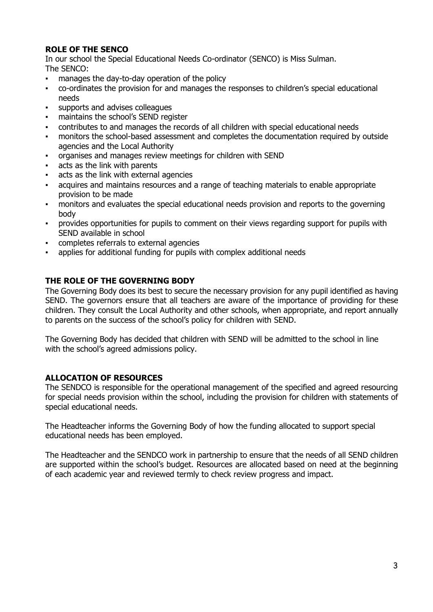# **ROLE OF THE SENCO**

In our school the Special Educational Needs Co-ordinator (SENCO) is Miss Sulman. The SENCO:

- manages the day-to-day operation of the policy
- co-ordinates the provision for and manages the responses to children's special educational needs
- supports and advises colleagues
- maintains the school's SEND register
- contributes to and manages the records of all children with special educational needs
- monitors the school-based assessment and completes the documentation required by outside agencies and the Local Authority
- organises and manages review meetings for children with SEND
- acts as the link with parents
- acts as the link with external agencies
- acquires and maintains resources and a range of teaching materials to enable appropriate provision to be made
- monitors and evaluates the special educational needs provision and reports to the governing body
- provides opportunities for pupils to comment on their views regarding support for pupils with SEND available in school
- completes referrals to external agencies
- applies for additional funding for pupils with complex additional needs

#### **THE ROLE OF THE GOVERNING BODY**

The Governing Body does its best to secure the necessary provision for any pupil identified as having SEND. The governors ensure that all teachers are aware of the importance of providing for these children. They consult the Local Authority and other schools, when appropriate, and report annually to parents on the success of the school's policy for children with SEND.

The Governing Body has decided that children with SEND will be admitted to the school in line with the school's agreed admissions policy.

#### **ALLOCATION OF RESOURCES**

The SENDCO is responsible for the operational management of the specified and agreed resourcing for special needs provision within the school, including the provision for children with statements of special educational needs.

The Headteacher informs the Governing Body of how the funding allocated to support special educational needs has been employed.

The Headteacher and the SENDCO work in partnership to ensure that the needs of all SEND children are supported within the school's budget. Resources are allocated based on need at the beginning of each academic year and reviewed termly to check review progress and impact.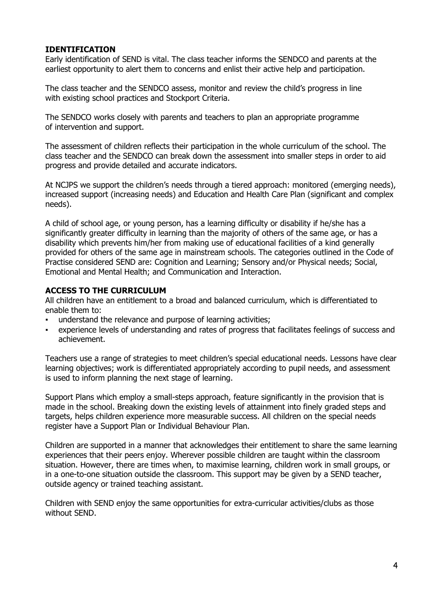#### **IDENTIFICATION**

Early identification of SEND is vital. The class teacher informs the SENDCO and parents at the earliest opportunity to alert them to concerns and enlist their active help and participation.

The class teacher and the SENDCO assess, monitor and review the child's progress in line with existing school practices and Stockport Criteria.

The SENDCO works closely with parents and teachers to plan an appropriate programme of intervention and support.

The assessment of children reflects their participation in the whole curriculum of the school. The class teacher and the SENDCO can break down the assessment into smaller steps in order to aid progress and provide detailed and accurate indicators.

At NCJPS we support the children's needs through a tiered approach: monitored (emerging needs), increased support (increasing needs) and Education and Health Care Plan (significant and complex needs).

A child of school age, or young person, has a learning difficulty or disability if he/she has a significantly greater difficulty in learning than the majority of others of the same age, or has a disability which prevents him/her from making use of educational facilities of a kind generally provided for others of the same age in mainstream schools. The categories outlined in the Code of Practise considered SEND are: Cognition and Learning; Sensory and/or Physical needs; Social, Emotional and Mental Health; and Communication and Interaction.

#### **ACCESS TO THE CURRICULUM**

All children have an entitlement to a broad and balanced curriculum, which is differentiated to enable them to:

- understand the relevance and purpose of learning activities;
- experience levels of understanding and rates of progress that facilitates feelings of success and achievement.

Teachers use a range of strategies to meet children's special educational needs. Lessons have clear learning objectives; work is differentiated appropriately according to pupil needs, and assessment is used to inform planning the next stage of learning.

Support Plans which employ a small-steps approach, feature significantly in the provision that is made in the school. Breaking down the existing levels of attainment into finely graded steps and targets, helps children experience more measurable success. All children on the special needs register have a Support Plan or Individual Behaviour Plan.

Children are supported in a manner that acknowledges their entitlement to share the same learning experiences that their peers enjoy. Wherever possible children are taught within the classroom situation. However, there are times when, to maximise learning, children work in small groups, or in a one-to-one situation outside the classroom. This support may be given by a SEND teacher, outside agency or trained teaching assistant.

Children with SEND enjoy the same opportunities for extra-curricular activities/clubs as those without SEND.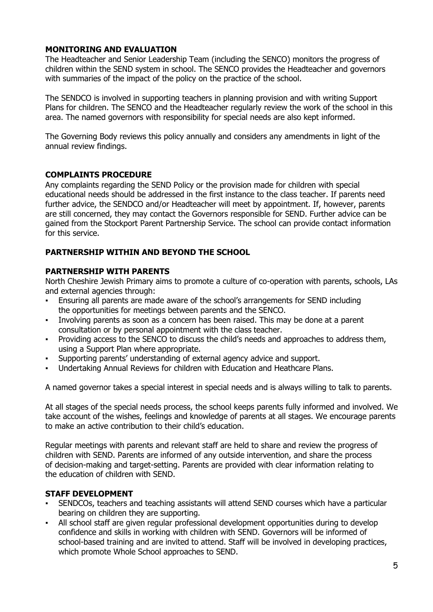#### **MONITORING AND EVALUATION**

The Headteacher and Senior Leadership Team (including the SENCO) monitors the progress of children within the SEND system in school. The SENCO provides the Headteacher and governors with summaries of the impact of the policy on the practice of the school.

The SENDCO is involved in supporting teachers in planning provision and with writing Support Plans for children. The SENCO and the Headteacher regularly review the work of the school in this area. The named governors with responsibility for special needs are also kept informed.

The Governing Body reviews this policy annually and considers any amendments in light of the annual review findings.

# **COMPLAINTS PROCEDURE**

Any complaints regarding the SEND Policy or the provision made for children with special educational needs should be addressed in the first instance to the class teacher. If parents need further advice, the SENDCO and/or Headteacher will meet by appointment. If, however, parents are still concerned, they may contact the Governors responsible for SEND. Further advice can be gained from the Stockport Parent Partnership Service. The school can provide contact information for this service.

# **PARTNERSHIP WITHIN AND BEYOND THE SCHOOL**

#### **PARTNERSHIP WITH PARENTS**

North Cheshire Jewish Primary aims to promote a culture of co-operation with parents, schools, LAs and external agencies through:

- Ensuring all parents are made aware of the school's arrangements for SEND including the opportunities for meetings between parents and the SENCO.
- Involving parents as soon as a concern has been raised. This may be done at a parent consultation or by personal appointment with the class teacher.
- Providing access to the SENCO to discuss the child's needs and approaches to address them, using a Support Plan where appropriate.
- Supporting parents' understanding of external agency advice and support.
- Undertaking Annual Reviews for children with Education and Heathcare Plans.

A named governor takes a special interest in special needs and is always willing to talk to parents.

At all stages of the special needs process, the school keeps parents fully informed and involved. We take account of the wishes, feelings and knowledge of parents at all stages. We encourage parents to make an active contribution to their child's education.

Regular meetings with parents and relevant staff are held to share and review the progress of children with SEND. Parents are informed of any outside intervention, and share the process of decision-making and target-setting. Parents are provided with clear information relating to the education of children with SEND.

#### **STAFF DEVELOPMENT**

- SENDCOs, teachers and teaching assistants will attend SEND courses which have a particular bearing on children they are supporting.
- All school staff are given regular professional development opportunities during to develop confidence and skills in working with children with SEND. Governors will be informed of school-based training and are invited to attend. Staff will be involved in developing practices, which promote Whole School approaches to SEND.